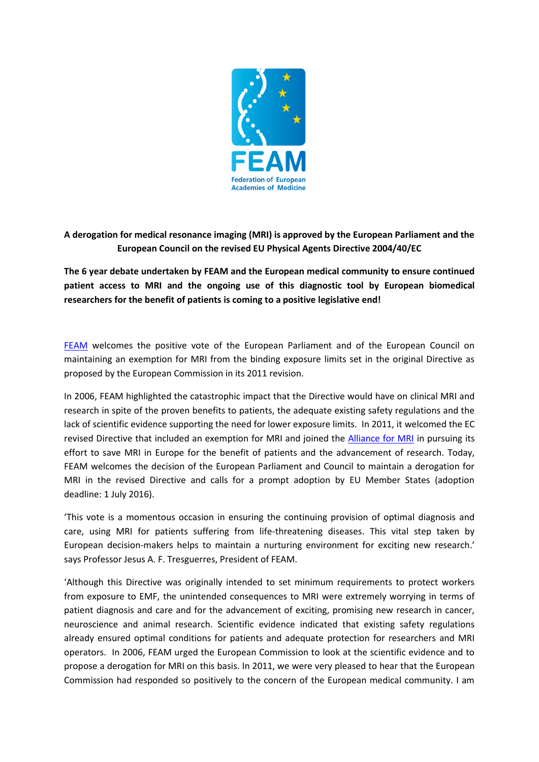

## **A derogation for medical resonance imaging (MRI) is approved by the European Parliament and the European Council on the revised EU Physical Agents Directive 2004/40/EC**

**The 6 year debate undertaken by FEAM and the European medical community to ensure continued patient access to MRI and the ongoing use of this diagnostic tool by European biomedical researchers for the benefit of patients is coming to a positive legislative end!**

[FEAM](http://www.feam.eu.com/) welcomes the positive vote of the European Parliament and of the European Council on maintaining an exemption for MRI from the binding exposure limits set in the original Directive as proposed by the European Commission in its 2011 revision.

In 2006, FEAM highlighted the catastrophic impact that the Directive would have on clinical MRI and research in spite of the proven benefits to patients, the adequate existing safety regulations and the lack of scientific evidence supporting the need for lower exposure limits. In 2011, it welcomed the EC revised Directive that included an exemption for MRI and joined the [Alliance for MRI](http://www.myesr.org/cms/website.php?id=/en/eu_affairs_research/alliance_for_mri.htm) in pursuing its effort to save MRI in Europe for the benefit of patients and the advancement of research. Today, FEAM welcomes the decision of the European Parliament and Council to maintain a derogation for MRI in the revised Directive and calls for a prompt adoption by EU Member States (adoption deadline: 1 July 2016).

'This vote is a momentous occasion in ensuring the continuing provision of optimal diagnosis and care, using MRI for patients suffering from life-threatening diseases. This vital step taken by European decision-makers helps to maintain a nurturing environment for exciting new research.' says Professor Jesus A. F. Tresguerres, President of FEAM.

'Although this Directive was originally intended to set minimum requirements to protect workers from exposure to EMF, the unintended consequences to MRI were extremely worrying in terms of patient diagnosis and care and for the advancement of exciting, promising new research in cancer, neuroscience and animal research. Scientific evidence indicated that existing safety regulations already ensured optimal conditions for patients and adequate protection for researchers and MRI operators. In 2006, FEAM urged the European Commission to look at the scientific evidence and to propose a derogation for MRI on this basis. In 2011, we were very pleased to hear that the European Commission had responded so positively to the concern of the European medical community. I am